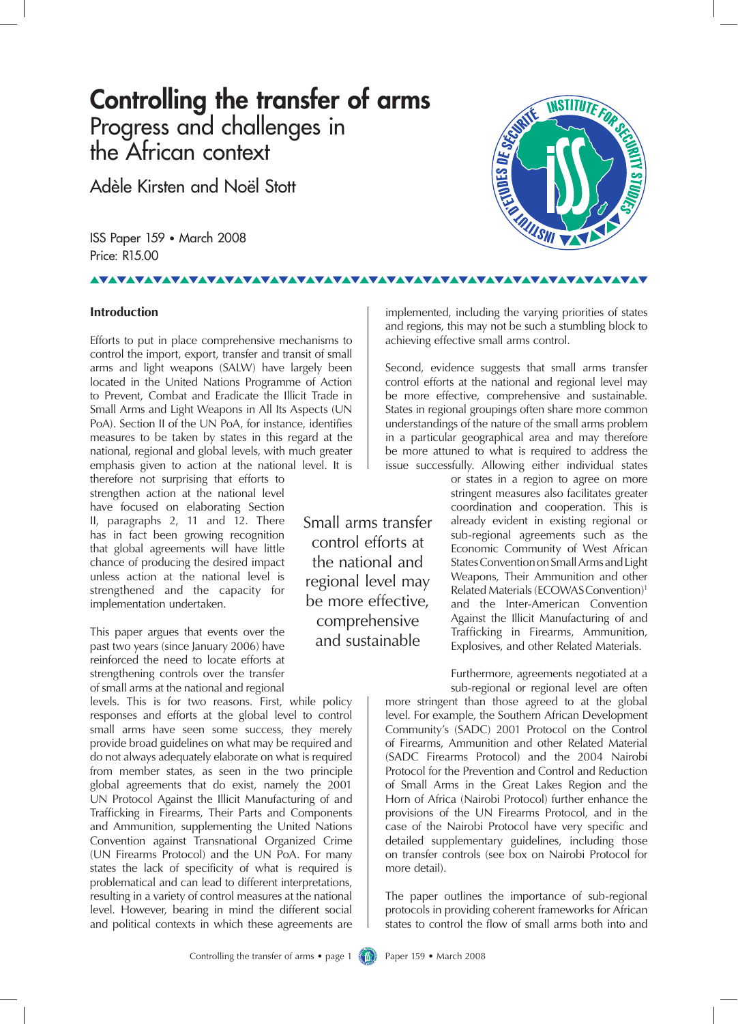# **Controlling the transfer of arms** Progress and challenges in the African context

Adèle Kirsten and Noël Stott

ISS Paper 159 • March 2008 Price: R15.00

#### **TAVAVAVAVA VAVAVAVAVAVA**

# **Introduction**

Efforts to put in place comprehensive mechanisms to control the import, export, transfer and transit of small arms and light weapons (SALW) have largely been located in the United Nations Programme of Action to Prevent, Combat and Eradicate the Illicit Trade in Small Arms and Light Weapons in All Its Aspects (UN PoA). Section II of the UN PoA, for instance, identifies measures to be taken by states in this regard at the national, regional and global levels, with much greater emphasis given to action at the national level. It is

therefore not surprising that efforts to strengthen action at the national level have focused on elaborating Section II, paragraphs 2, 11 and 12. There has in fact been growing recognition that global agreements will have little chance of producing the desired impact unless action at the national level is strengthened and the capacity for implementation undertaken.

This paper argues that events over the past two years (since January 2006) have reinforced the need to locate efforts at strengthening controls over the transfer of small arms at the national and regional

levels. This is for two reasons. First, while policy responses and efforts at the global level to control small arms have seen some success, they merely provide broad guidelines on what may be required and do not always adequately elaborate on what is required from member states, as seen in the two principle global agreements that do exist, namely the 2001 UN Protocol Against the Illicit Manufacturing of and Trafficking in Firearms, Their Parts and Components and Ammunition, supplementing the United Nations Convention against Transnational Organized Crime (UN Firearms Protocol) and the UN PoA. For many states the lack of specificity of what is required is problematical and can lead to different interpretations, resulting in a variety of control measures at the national level. However, bearing in mind the different social and political contexts in which these agreements are

Small arms transfer control efforts at the national and regional level may be more effective, comprehensive and sustainable

implemented, including the varying priorities of states and regions, this may not be such a stumbling block to achieving effective small arms control.

Second, evidence suggests that small arms transfer control efforts at the national and regional level may be more effective, comprehensive and sustainable. States in regional groupings often share more common understandings of the nature of the small arms problem in a particular geographical area and may therefore be more attuned to what is required to address the issue successfully. Allowing either individual states

> or states in a region to agree on more stringent measures also facilitates greater coordination and cooperation. This is already evident in existing regional or sub-regional agreements such as the Economic Community of West African States Convention on Small Arms and Light Weapons, Their Ammunition and other Related Materials (ECOWASConvention)1 and the Inter-American Convention Against the Illicit Manufacturing of and Trafficking in Firearms, Ammunition, Explosives, and other Related Materials.

Furthermore, agreements negotiated at a sub-regional or regional level are often

more stringent than those agreed to at the global level. For example, the Southern African Development Community's (SADC) 2001 Protocol on the Control of Firearms, Ammunition and other Related Material (SADC Firearms Protocol) and the 2004 Nairobi Protocol for the Prevention and Control and Reduction of Small Arms in the Great Lakes Region and the Horn of Africa (Nairobi Protocol) further enhance the provisions of the UN Firearms Protocol, and in the case of the Nairobi Protocol have very specific and detailed supplementary guidelines, including those on transfer controls (see box on Nairobi Protocol for more detail).

The paper outlines the importance of sub-regional protocols in providing coherent frameworks for African states to control the flow of small arms both into and

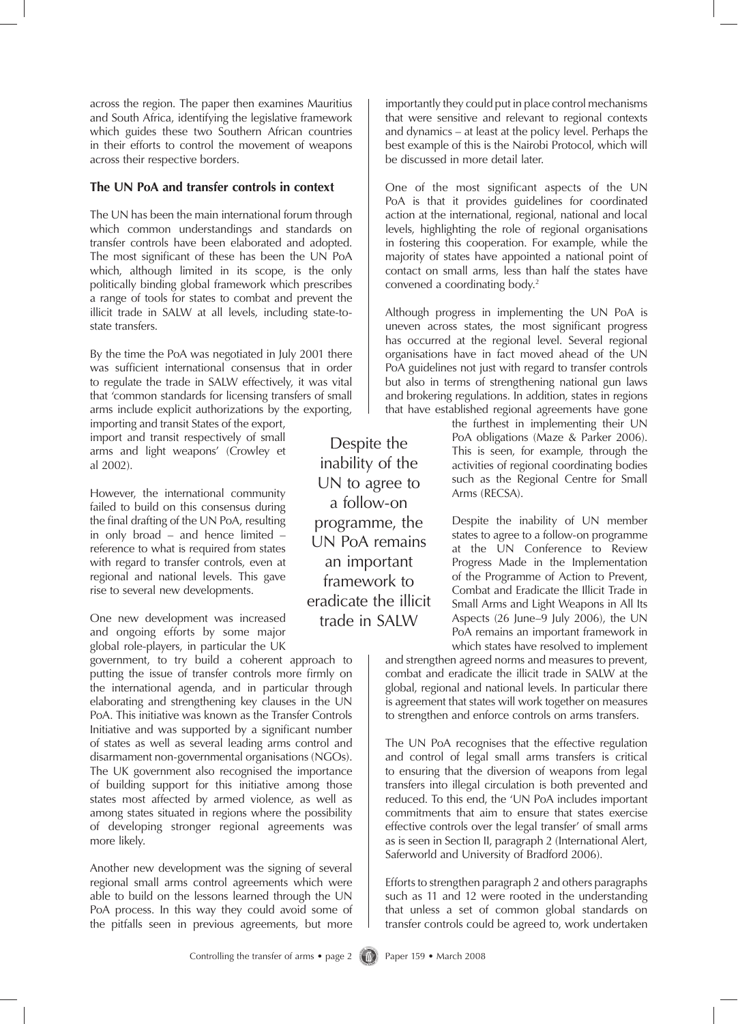across the region. The paper then examines Mauritius and South Africa, identifying the legislative framework which guides these two Southern African countries in their efforts to control the movement of weapons across their respective borders.

# **The UN PoA and transfer controls in context**

The UN has been the main international forum through which common understandings and standards on transfer controls have been elaborated and adopted. The most significant of these has been the UN PoA which, although limited in its scope, is the only politically binding global framework which prescribes a range of tools for states to combat and prevent the illicit trade in SALW at all levels, including state-tostate transfers.

By the time the PoA was negotiated in July 2001 there was sufficient international consensus that in order to regulate the trade in SALW effectively, it was vital that 'common standards for licensing transfers of small arms include explicit authorizations by the exporting,

importing and transit States of the export, import and transit respectively of small arms and light weapons' (Crowley et al 2002).

However, the international community failed to build on this consensus during the final drafting of the UN PoA, resulting in only broad – and hence limited – reference to what is required from states with regard to transfer controls, even at regional and national levels. This gave rise to several new developments.

One new development was increased and ongoing efforts by some major global role-players, in particular the UK

government, to try build a coherent approach to putting the issue of transfer controls more firmly on the international agenda, and in particular through elaborating and strengthening key clauses in the UN PoA. This initiative was known as the Transfer Controls Initiative and was supported by a significant number of states as well as several leading arms control and disarmament non-governmental organisations (NGOs). The UK government also recognised the importance of building support for this initiative among those states most affected by armed violence, as well as among states situated in regions where the possibility of developing stronger regional agreements was more likely.

Another new development was the signing of several regional small arms control agreements which were able to build on the lessons learned through the UN PoA process. In this way they could avoid some of the pitfalls seen in previous agreements, but more

Despite the inability of the UN to agree to a follow-on programme, the UN PoA remains an important framework to eradicate the illicit trade in SALW

importantly they could put in place control mechanisms that were sensitive and relevant to regional contexts and dynamics – at least at the policy level. Perhaps the best example of this is the Nairobi Protocol, which will be discussed in more detail later.

One of the most significant aspects of the UN PoA is that it provides guidelines for coordinated action at the international, regional, national and local levels, highlighting the role of regional organisations in fostering this cooperation. For example, while the majority of states have appointed a national point of contact on small arms, less than half the states have convened a coordinating body.<sup>2</sup>

Although progress in implementing the UN PoA is uneven across states, the most significant progress has occurred at the regional level. Several regional organisations have in fact moved ahead of the UN PoA guidelines not just with regard to transfer controls but also in terms of strengthening national gun laws and brokering regulations. In addition, states in regions that have established regional agreements have gone

> the furthest in implementing their UN PoA obligations (Maze & Parker 2006). This is seen, for example, through the activities of regional coordinating bodies such as the Regional Centre for Small Arms (RECSA).

> Despite the inability of UN member states to agree to a follow-on programme at the UN Conference to Review Progress Made in the Implementation of the Programme of Action to Prevent, Combat and Eradicate the Illicit Trade in Small Arms and Light Weapons in All Its Aspects (26 June–9 July 2006), the UN PoA remains an important framework in which states have resolved to implement

and strengthen agreed norms and measures to prevent, combat and eradicate the illicit trade in SALW at the global, regional and national levels. In particular there is agreement that states will work together on measures to strengthen and enforce controls on arms transfers.

The UN PoA recognises that the effective regulation and control of legal small arms transfers is critical to ensuring that the diversion of weapons from legal transfers into illegal circulation is both prevented and reduced. To this end, the 'UN PoA includes important commitments that aim to ensure that states exercise effective controls over the legal transfer' of small arms as is seen in Section II, paragraph 2 (International Alert, Saferworld and University of Bradford 2006).

Efforts to strengthen paragraph 2 and others paragraphs such as 11 and 12 were rooted in the understanding that unless a set of common global standards on transfer controls could be agreed to, work undertaken

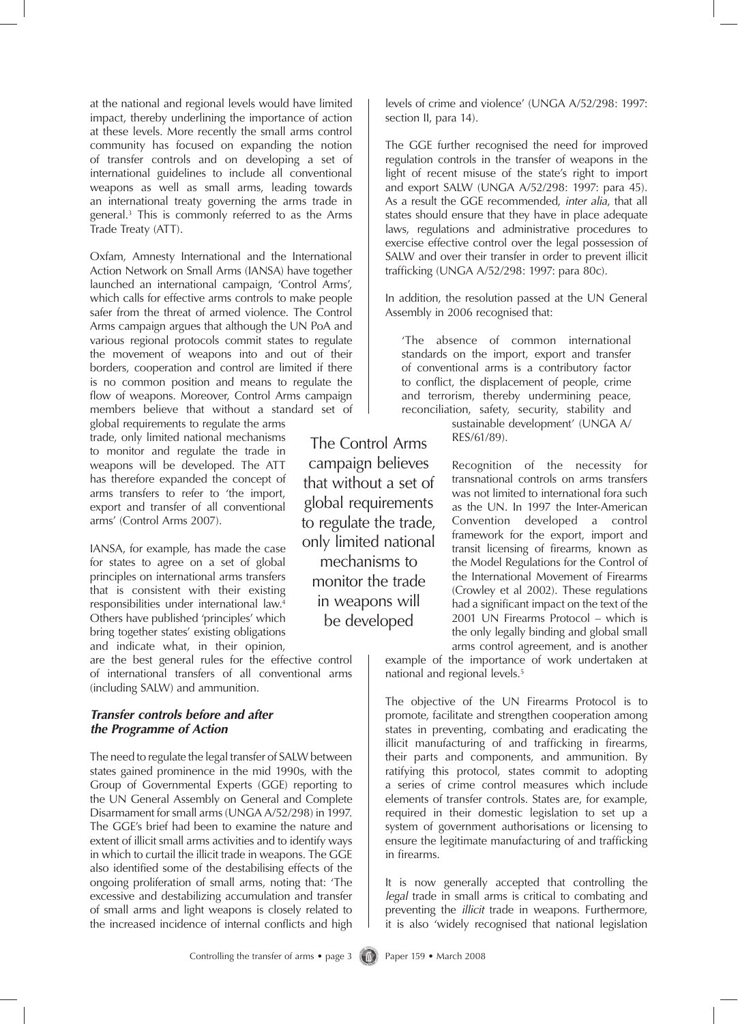at the national and regional levels would have limited impact, thereby underlining the importance of action at these levels. More recently the small arms control community has focused on expanding the notion of transfer controls and on developing a set of international guidelines to include all conventional weapons as well as small arms, leading towards an international treaty governing the arms trade in general.3 This is commonly referred to as the Arms Trade Treaty (ATT).

Oxfam, Amnesty International and the International Action Network on Small Arms (IANSA) have together launched an international campaign, 'Control Arms', which calls for effective arms controls to make people safer from the threat of armed violence. The Control Arms campaign argues that although the UN PoA and various regional protocols commit states to regulate the movement of weapons into and out of their borders, cooperation and control are limited if there is no common position and means to regulate the flow of weapons. Moreover, Control Arms campaign members believe that without a standard set of

global requirements to regulate the arms trade, only limited national mechanisms to monitor and regulate the trade in weapons will be developed. The ATT has therefore expanded the concept of arms transfers to refer to 'the import, export and transfer of all conventional arms' (Control Arms 2007).

IANSA, for example, has made the case for states to agree on a set of global principles on international arms transfers that is consistent with their existing responsibilities under international law.4 Others have published 'principles' which bring together states' existing obligations and indicate what, in their opinion,

are the best general rules for the effective control of international transfers of all conventional arms (including SALW) and ammunition.

## *Transfer controls before and after the Programme of Action*

The need to regulate the legal transfer of SALW between states gained prominence in the mid 1990s, with the Group of Governmental Experts (GGE) reporting to the UN General Assembly on General and Complete Disarmament for small arms (UNGA A/52/298) in 1997. The GGE's brief had been to examine the nature and extent of illicit small arms activities and to identify ways in which to curtail the illicit trade in weapons. The GGE also identified some of the destabilising effects of the ongoing proliferation of small arms, noting that: 'The excessive and destabilizing accumulation and transfer of small arms and light weapons is closely related to the increased incidence of internal conflicts and high

The Control Arms campaign believes that without a set of global requirements to regulate the trade, only limited national mechanisms to monitor the trade in weapons will be developed

levels of crime and violence' (UNGA A/52/298: 1997: section II, para 14).

The GGE further recognised the need for improved regulation controls in the transfer of weapons in the light of recent misuse of the state's right to import and export SALW (UNGA A/52/298: 1997: para 45). As a result the GGE recommended, *inter alia*, that all states should ensure that they have in place adequate laws, regulations and administrative procedures to exercise effective control over the legal possession of SALW and over their transfer in order to prevent illicit trafficking (UNGA A/52/298: 1997: para 80c).

In addition, the resolution passed at the UN General Assembly in 2006 recognised that:

'The absence of common international standards on the import, export and transfer of conventional arms is a contributory factor to conflict, the displacement of people, crime and terrorism, thereby undermining peace, reconciliation, safety, security, stability and sustainable development' (UNGA A/

RES/61/89).

Recognition of the necessity for transnational controls on arms transfers was not limited to international fora such as the UN. In 1997 the Inter-American Convention developed a control framework for the export, import and transit licensing of firearms, known as the Model Regulations for the Control of the International Movement of Firearms (Crowley et al 2002). These regulations had a significant impact on the text of the 2001 UN Firearms Protocol – which is the only legally binding and global small arms control agreement, and is another

example of the importance of work undertaken at national and regional levels.<sup>5</sup>

The objective of the UN Firearms Protocol is to promote, facilitate and strengthen cooperation among states in preventing, combating and eradicating the illicit manufacturing of and trafficking in firearms, their parts and components, and ammunition. By ratifying this protocol, states commit to adopting a series of crime control measures which include elements of transfer controls. States are, for example, required in their domestic legislation to set up a system of government authorisations or licensing to ensure the legitimate manufacturing of and trafficking in firearms.

It is now generally accepted that controlling the *legal* trade in small arms is critical to combating and preventing the *illicit* trade in weapons. Furthermore, it is also 'widely recognised that national legislation

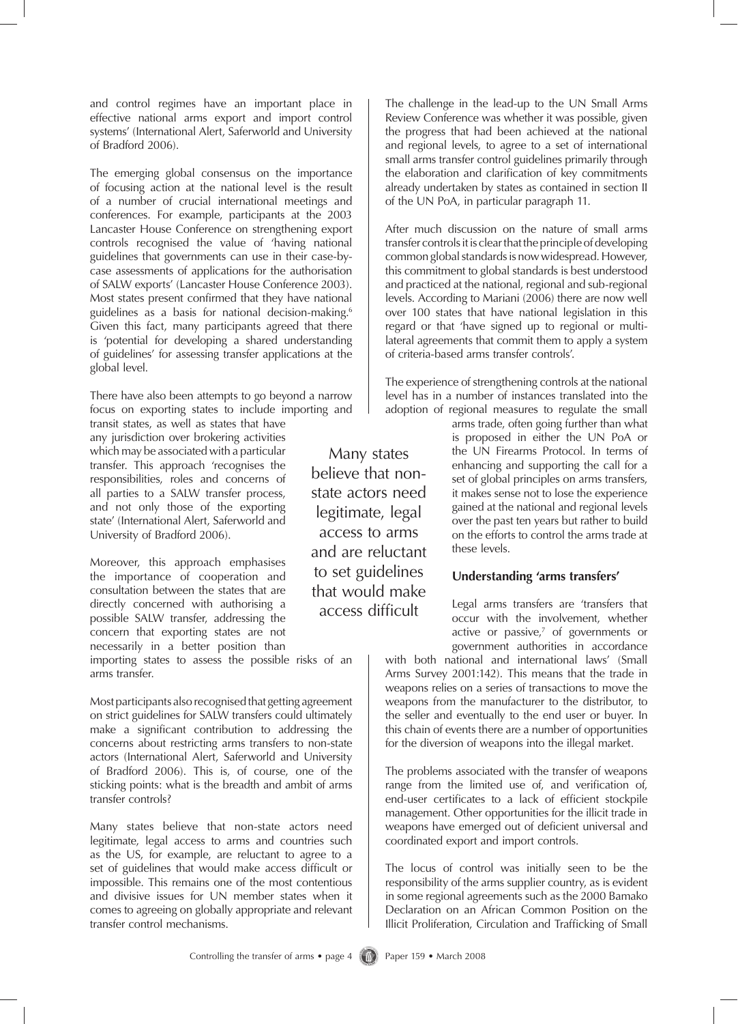and control regimes have an important place in effective national arms export and import control systems' (International Alert, Saferworld and University of Bradford 2006).

The emerging global consensus on the importance of focusing action at the national level is the result of a number of crucial international meetings and conferences. For example, participants at the 2003 Lancaster House Conference on strengthening export controls recognised the value of 'having national guidelines that governments can use in their case-bycase assessments of applications for the authorisation of SALW exports' (Lancaster House Conference 2003). Most states present confirmed that they have national guidelines as a basis for national decision-making.<sup>6</sup> Given this fact, many participants agreed that there is 'potential for developing a shared understanding of guidelines' for assessing transfer applications at the global level.

There have also been attempts to go beyond a narrow focus on exporting states to include importing and

transit states, as well as states that have any jurisdiction over brokering activities which may be associated with a particular transfer. This approach 'recognises the responsibilities, roles and concerns of all parties to a SALW transfer process, and not only those of the exporting state' (International Alert, Saferworld and University of Bradford 2006).

Moreover, this approach emphasises the importance of cooperation and consultation between the states that are directly concerned with authorising a possible SALW transfer, addressing the concern that exporting states are not necessarily in a better position than

importing states to assess the possible risks of an arms transfer.

Most participants also recognised that getting agreement on strict guidelines for SALW transfers could ultimately make a significant contribution to addressing the concerns about restricting arms transfers to non-state actors (International Alert, Saferworld and University of Bradford 2006). This is, of course, one of the sticking points: what is the breadth and ambit of arms transfer controls?

Many states believe that non-state actors need legitimate, legal access to arms and countries such as the US, for example, are reluctant to agree to a set of guidelines that would make access difficult or impossible. This remains one of the most contentious and divisive issues for UN member states when it comes to agreeing on globally appropriate and relevant transfer control mechanisms.

Many states believe that nonstate actors need legitimate, legal access to arms and are reluctant to set guidelines that would make access difficult

The challenge in the lead-up to the UN Small Arms Review Conference was whether it was possible, given the progress that had been achieved at the national and regional levels, to agree to a set of international small arms transfer control guidelines primarily through the elaboration and clarification of key commitments already undertaken by states as contained in section II of the UN PoA, in particular paragraph 11.

After much discussion on the nature of small arms transfer controls it is clear that the principle of developing common global standards is now widespread. However, this commitment to global standards is best understood and practiced at the national, regional and sub-regional levels. According to Mariani (2006) there are now well over 100 states that have national legislation in this regard or that 'have signed up to regional or multilateral agreements that commit them to apply a system of criteria-based arms transfer controls'.

The experience of strengthening controls at the national level has in a number of instances translated into the adoption of regional measures to regulate the small

> arms trade, often going further than what is proposed in either the UN PoA or the UN Firearms Protocol. In terms of enhancing and supporting the call for a set of global principles on arms transfers, it makes sense not to lose the experience gained at the national and regional levels over the past ten years but rather to build on the efforts to control the arms trade at these levels.

# **Understanding 'arms transfers'**

Legal arms transfers are 'transfers that occur with the involvement, whether active or passive, $7$  of governments or government authorities in accordance

with both national and international laws' (Small Arms Survey 2001:142). This means that the trade in weapons relies on a series of transactions to move the weapons from the manufacturer to the distributor, to the seller and eventually to the end user or buyer. In this chain of events there are a number of opportunities for the diversion of weapons into the illegal market.

The problems associated with the transfer of weapons range from the limited use of, and verification of, end-user certificates to a lack of efficient stockpile management. Other opportunities for the illicit trade in weapons have emerged out of deficient universal and coordinated export and import controls.

The locus of control was initially seen to be the responsibility of the arms supplier country, as is evident in some regional agreements such as the 2000 Bamako Declaration on an African Common Position on the Illicit Proliferation, Circulation and Trafficking of Small

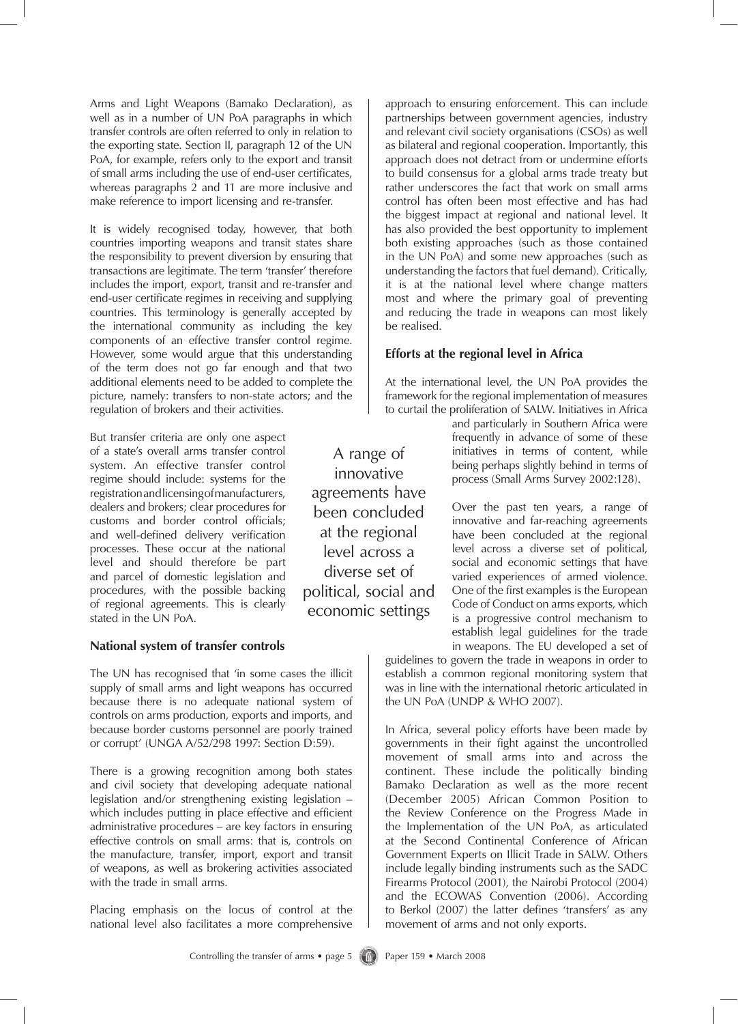Arms and Light Weapons (Bamako Declaration), as well as in a number of UN PoA paragraphs in which transfer controls are often referred to only in relation to the exporting state. Section II, paragraph 12 of the UN PoA, for example, refers only to the export and transit of small arms including the use of end-user certificates, whereas paragraphs 2 and 11 are more inclusive and make reference to import licensing and re-transfer.

It is widely recognised today, however, that both countries importing weapons and transit states share the responsibility to prevent diversion by ensuring that transactions are legitimate. The term 'transfer' therefore includes the import, export, transit and re-transfer and end-user certificate regimes in receiving and supplying countries. This terminology is generally accepted by the international community as including the key components of an effective transfer control regime. However, some would argue that this understanding of the term does not go far enough and that two additional elements need to be added to complete the picture, namely: transfers to non-state actors; and the regulation of brokers and their activities.

But transfer criteria are only one aspect of a state's overall arms transfer control system. An effective transfer control regime should include: systems for the registration and licensing of manufacturers, dealers and brokers; clear procedures for customs and border control officials; and well-defined delivery verification processes. These occur at the national level and should therefore be part and parcel of domestic legislation and procedures, with the possible backing of regional agreements. This is clearly stated in the UN PoA.

## **National system of transfer controls**

The UN has recognised that 'in some cases the illicit supply of small arms and light weapons has occurred because there is no adequate national system of controls on arms production, exports and imports, and because border customs personnel are poorly trained or corrupt' (UNGA A/52/298 1997: Section D:59).

There is a growing recognition among both states and civil society that developing adequate national legislation and/or strengthening existing legislation – which includes putting in place effective and efficient administrative procedures – are key factors in ensuring effective controls on small arms: that is, controls on the manufacture, transfer, import, export and transit of weapons, as well as brokering activities associated with the trade in small arms.

Placing emphasis on the locus of control at the national level also facilitates a more comprehensive

approach to ensuring enforcement. This can include partnerships between government agencies, industry and relevant civil society organisations (CSOs) as well as bilateral and regional cooperation. Importantly, this approach does not detract from or undermine efforts to build consensus for a global arms trade treaty but rather underscores the fact that work on small arms control has often been most effective and has had the biggest impact at regional and national level. It has also provided the best opportunity to implement both existing approaches (such as those contained in the UN PoA) and some new approaches (such as understanding the factors that fuel demand). Critically, it is at the national level where change matters most and where the primary goal of preventing and reducing the trade in weapons can most likely be realised.

# **Efforts at the regional level in Africa**

At the international level, the UN PoA provides the framework for the regional implementation of measures to curtail the proliferation of SALW. Initiatives in Africa

> and particularly in Southern Africa were frequently in advance of some of these initiatives in terms of content, while being perhaps slightly behind in terms of process (Small Arms Survey 2002:128).

> Over the past ten years, a range of innovative and far-reaching agreements have been concluded at the regional level across a diverse set of political, social and economic settings that have varied experiences of armed violence. One of the first examples is the European Code of Conduct on arms exports, which is a progressive control mechanism to establish legal guidelines for the trade in weapons. The EU developed a set of

guidelines to govern the trade in weapons in order to establish a common regional monitoring system that was in line with the international rhetoric articulated in the UN PoA (UNDP & WHO 2007).

In Africa, several policy efforts have been made by governments in their fight against the uncontrolled movement of small arms into and across the continent. These include the politically binding Bamako Declaration as well as the more recent (December 2005) African Common Position to the Review Conference on the Progress Made in the Implementation of the UN PoA, as articulated at the Second Continental Conference of African Government Experts on Illicit Trade in SALW. Others include legally binding instruments such as the SADC Firearms Protocol (2001), the Nairobi Protocol (2004) and the ECOWAS Convention (2006). According to Berkol (2007) the latter defines 'transfers' as any movement of arms and not only exports.

innovative agreements have been concluded at the regional level across a diverse set of political, social and economic settings

A range of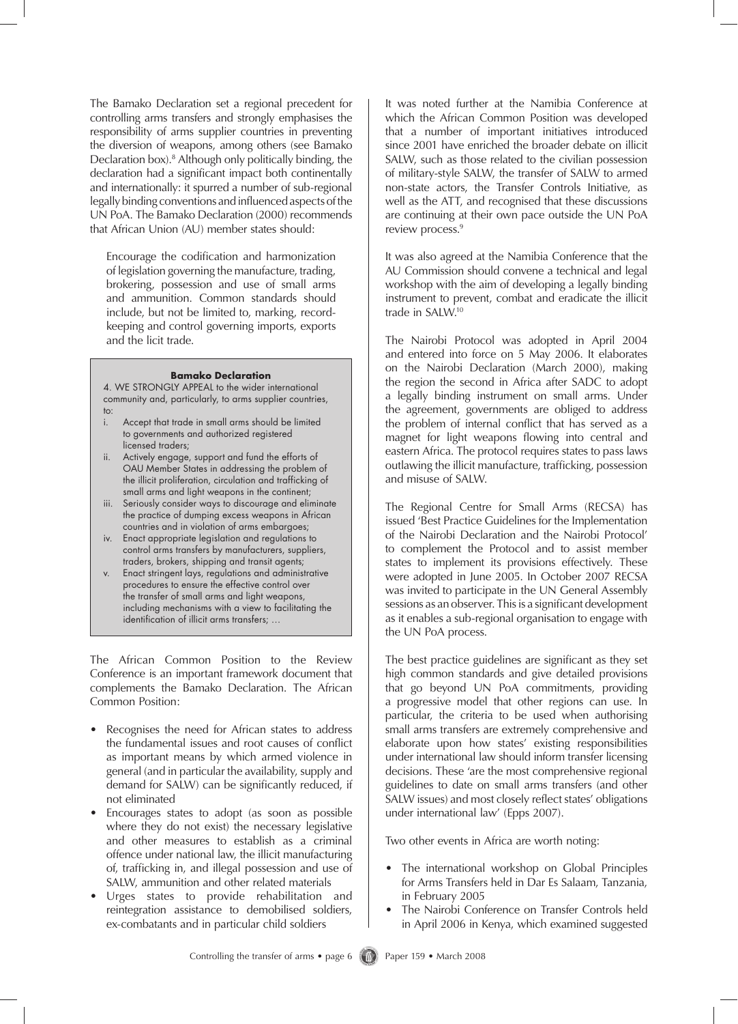The Bamako Declaration set a regional precedent for controlling arms transfers and strongly emphasises the responsibility of arms supplier countries in preventing the diversion of weapons, among others (see Bamako Declaration box).8 Although only politically binding, the declaration had a significant impact both continentally and internationally: it spurred a number of sub-regional legally binding conventions and influenced aspects of the UN PoA. The Bamako Declaration (2000) recommends that African Union (AU) member states should:

Encourage the codification and harmonization of legislation governing the manufacture, trading, brokering, possession and use of small arms and ammunition. Common standards should include, but not be limited to, marking, recordkeeping and control governing imports, exports and the licit trade.

#### **Bamako Declaration**

4. WE STRONGLY APPEAL to the wider international community and, particularly, to arms supplier countries, to:

- i. Accept that trade in small arms should be limited to governments and authorized registered licensed traders;
- ii. Actively engage, support and fund the efforts of OAU Member States in addressing the problem of the illicit proliferation, circulation and trafficking of small arms and light weapons in the continent;
- iii. Seriously consider ways to discourage and eliminate the practice of dumping excess weapons in African countries and in violation of arms embargoes;
- iv. Enact appropriate legislation and regulations to control arms transfers by manufacturers, suppliers, traders, brokers, shipping and transit agents;
- v. Enact stringent lays, regulations and administrative procedures to ensure the effective control over the transfer of small arms and light weapons, including mechanisms with a view to facilitating the identification of illicit arms transfers; …

The African Common Position to the Review Conference is an important framework document that complements the Bamako Declaration. The African Common Position:

- Recognises the need for African states to address the fundamental issues and root causes of conflict as important means by which armed violence in general (and in particular the availability, supply and demand for SALW) can be significantly reduced, if not eliminated
- Encourages states to adopt (as soon as possible where they do not exist) the necessary legislative and other measures to establish as a criminal offence under national law, the illicit manufacturing of, trafficking in, and illegal possession and use of SALW, ammunition and other related materials
- Urges states to provide rehabilitation and reintegration assistance to demobilised soldiers, ex-combatants and in particular child soldiers

It was noted further at the Namibia Conference at which the African Common Position was developed that a number of important initiatives introduced since 2001 have enriched the broader debate on illicit SALW, such as those related to the civilian possession of military-style SALW, the transfer of SALW to armed non-state actors, the Transfer Controls Initiative, as well as the ATT, and recognised that these discussions are continuing at their own pace outside the UN PoA review process.<sup>9</sup>

It was also agreed at the Namibia Conference that the AU Commission should convene a technical and legal workshop with the aim of developing a legally binding instrument to prevent, combat and eradicate the illicit trade in SALW.10

The Nairobi Protocol was adopted in April 2004 and entered into force on 5 May 2006. It elaborates on the Nairobi Declaration (March 2000), making the region the second in Africa after SADC to adopt a legally binding instrument on small arms. Under the agreement, governments are obliged to address the problem of internal conflict that has served as a magnet for light weapons flowing into central and eastern Africa. The protocol requires states to pass laws outlawing the illicit manufacture, trafficking, possession and misuse of SALW.

The Regional Centre for Small Arms (RECSA) has issued 'Best Practice Guidelines for the Implementation of the Nairobi Declaration and the Nairobi Protocol' to complement the Protocol and to assist member states to implement its provisions effectively. These were adopted in June 2005. In October 2007 RECSA was invited to participate in the UN General Assembly sessions as an observer. This is a significant development as it enables a sub-regional organisation to engage with the UN PoA process.

The best practice guidelines are significant as they set high common standards and give detailed provisions that go beyond UN PoA commitments, providing a progressive model that other regions can use. In particular, the criteria to be used when authorising small arms transfers are extremely comprehensive and elaborate upon how states' existing responsibilities under international law should inform transfer licensing decisions. These 'are the most comprehensive regional guidelines to date on small arms transfers (and other SALW issues) and most closely reflect states' obligations under international law' (Epps 2007).

Two other events in Africa are worth noting:

- The international workshop on Global Principles for Arms Transfers held in Dar Es Salaam, Tanzania, in February 2005
- The Nairobi Conference on Transfer Controls held in April 2006 in Kenya, which examined suggested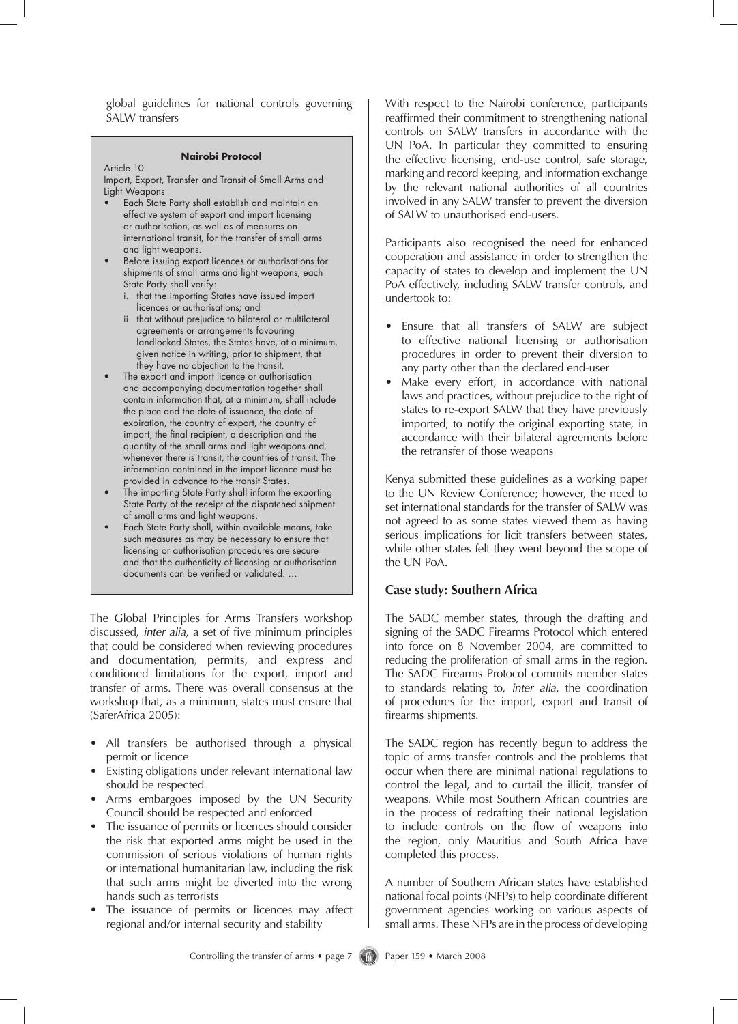global guidelines for national controls governing SALW transfers

#### **Nairobi Protocol**

Article 10

Import, Export, Transfer and Transit of Small Arms and Light Weapons

- Each State Party shall establish and maintain an effective system of export and import licensing or authorisation, as well as of measures on international transit, for the transfer of small arms and light weapons.
- Before issuing export licences or authorisations for shipments of small arms and light weapons, each State Party shall verify:
	- i. that the importing States have issued import licences or authorisations; and
	- ii. that without prejudice to bilateral or multilateral agreements or arrangements favouring landlocked States, the States have, at a minimum, given notice in writing, prior to shipment, that they have no objection to the transit.
- The export and import licence or authorisation and accompanying documentation together shall contain information that, at a minimum, shall include the place and the date of issuance, the date of expiration, the country of export, the country of import, the final recipient, a description and the quantity of the small arms and light weapons and, whenever there is transit, the countries of transit. The information contained in the import licence must be provided in advance to the transit States.
- The importing State Party shall inform the exporting State Party of the receipt of the dispatched shipment of small arms and light weapons.
- Each State Party shall, within available means, take such measures as may be necessary to ensure that licensing or authorisation procedures are secure and that the authenticity of licensing or authorisation documents can be verified or validated. …

The Global Principles for Arms Transfers workshop discussed, *inter alia*, a set of five minimum principles that could be considered when reviewing procedures and documentation, permits, and express and conditioned limitations for the export, import and transfer of arms. There was overall consensus at the workshop that, as a minimum, states must ensure that (SaferAfrica 2005):

- All transfers be authorised through a physical permit or licence
- Existing obligations under relevant international law should be respected
- Arms embargoes imposed by the UN Security Council should be respected and enforced
- The issuance of permits or licences should consider the risk that exported arms might be used in the commission of serious violations of human rights or international humanitarian law, including the risk that such arms might be diverted into the wrong hands such as terrorists
- The issuance of permits or licences may affect regional and/or internal security and stability

With respect to the Nairobi conference, participants reaffirmed their commitment to strengthening national controls on SALW transfers in accordance with the UN PoA. In particular they committed to ensuring the effective licensing, end-use control, safe storage, marking and record keeping, and information exchange by the relevant national authorities of all countries involved in any SALW transfer to prevent the diversion of SALW to unauthorised end-users.

Participants also recognised the need for enhanced cooperation and assistance in order to strengthen the capacity of states to develop and implement the UN PoA effectively, including SALW transfer controls, and undertook to:

- Ensure that all transfers of SALW are subject to effective national licensing or authorisation procedures in order to prevent their diversion to any party other than the declared end-user
- Make every effort, in accordance with national laws and practices, without prejudice to the right of states to re-export SALW that they have previously imported, to notify the original exporting state, in accordance with their bilateral agreements before the retransfer of those weapons

Kenya submitted these guidelines as a working paper to the UN Review Conference; however, the need to set international standards for the transfer of SALW was not agreed to as some states viewed them as having serious implications for licit transfers between states, while other states felt they went beyond the scope of the UN PoA.

## **Case study: Southern Africa**

The SADC member states, through the drafting and signing of the SADC Firearms Protocol which entered into force on 8 November 2004, are committed to reducing the proliferation of small arms in the region. The SADC Firearms Protocol commits member states to standards relating to, *inter alia*, the coordination of procedures for the import, export and transit of firearms shipments.

The SADC region has recently begun to address the topic of arms transfer controls and the problems that occur when there are minimal national regulations to control the legal, and to curtail the illicit, transfer of weapons. While most Southern African countries are in the process of redrafting their national legislation to include controls on the flow of weapons into the region, only Mauritius and South Africa have completed this process.

A number of Southern African states have established national focal points (NFPs) to help coordinate different government agencies working on various aspects of small arms. These NFPs are in the process of developing

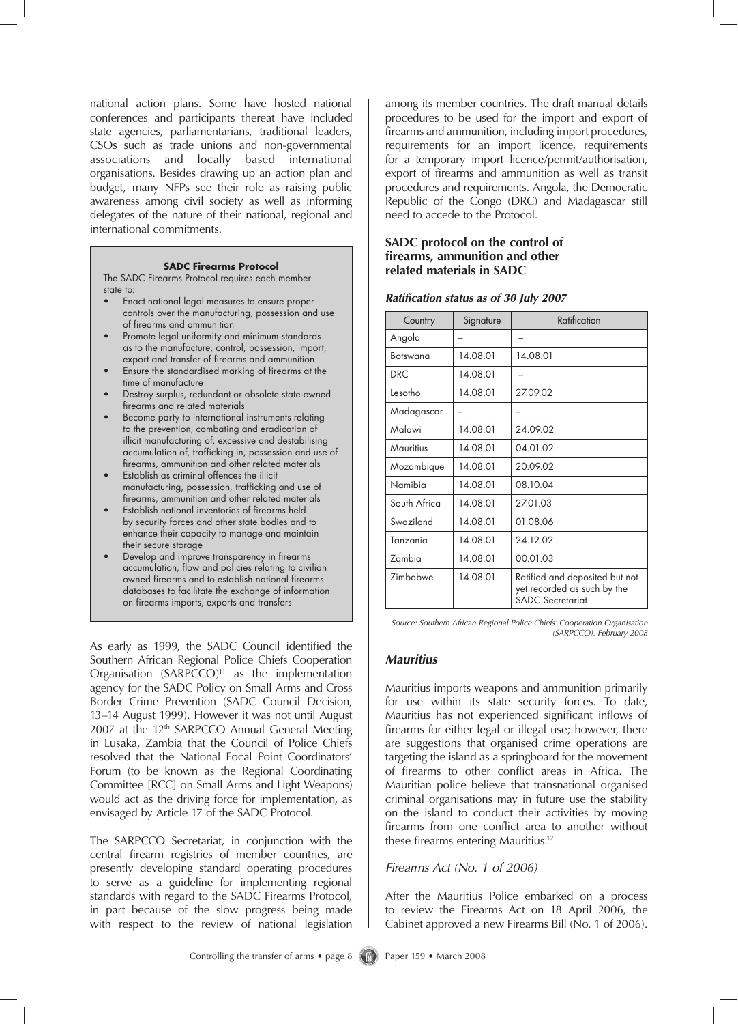national action plans. Some have hosted national conferences and participants thereat have included state agencies, parliamentarians, traditional leaders, CSOs such as trade unions and non-governmental associations and locally based international organisations. Besides drawing up an action plan and budget, many NFPs see their role as raising public awareness among civil society as well as informing delegates of the nature of their national, regional and international commitments.

#### **SADC Firearms Protocol**

The SADC Firearms Protocol requires each member state to:

- Enact national legal measures to ensure proper controls over the manufacturing, possession and use of firearms and ammunition
- Promote legal uniformity and minimum standards as to the manufacture, control, possession, import, export and transfer of firearms and ammunition
- Ensure the standardised marking of firearms at the time of manufacture
- Destroy surplus, redundant or obsolete state-owned firearms and related materials
- Become party to international instruments relating to the prevention, combating and eradication of illicit manufacturing of, excessive and destabilising accumulation of, trafficking in, possession and use of firearms, ammunition and other related materials
- Establish as criminal offences the illicit manufacturing, possession, trafficking and use of firearms, ammunition and other related materials
- Establish national inventories of firearms held by security forces and other state bodies and to enhance their capacity to manage and maintain their secure storage
- Develop and improve transparency in firearms accumulation, flow and policies relating to civilian owned firearms and to establish national firearms databases to facilitate the exchange of information on firearms imports, exports and transfers

As early as 1999, the SADC Council identified the Southern African Regional Police Chiefs Cooperation Organisation  $(SARPCCO)^{11}$  as the implementation agency for the SADC Policy on Small Arms and Cross Border Crime Prevention (SADC Council Decision, 13–14 August 1999). However it was not until August 2007 at the 12<sup>th</sup> SARPCCO Annual General Meeting in Lusaka, Zambia that the Council of Police Chiefs resolved that the National Focal Point Coordinators' Forum (to be known as the Regional Coordinating Committee [RCC] on Small Arms and Light Weapons) would act as the driving force for implementation, as envisaged by Article 17 of the SADC Protocol.

The SARPCCO Secretariat, in conjunction with the central firearm registries of member countries, are presently developing standard operating procedures to serve as a guideline for implementing regional standards with regard to the SADC Firearms Protocol, in part because of the slow progress being made with respect to the review of national legislation

among its member countries. The draft manual details procedures to be used for the import and export of firearms and ammunition, including import procedures, requirements for an import licence, requirements for a temporary import licence/permit/authorisation, export of firearms and ammunition as well as transit procedures and requirements. Angola, the Democratic Republic of the Congo (DRC) and Madagascar still need to accede to the Protocol.

## **SADC protocol on the control of firearms, ammunition and other related materials in SADC**

| Country      | Signature | Ratification                                                                             |  |
|--------------|-----------|------------------------------------------------------------------------------------------|--|
| Angola       |           |                                                                                          |  |
| Botswana     | 14.08.01  | 14.08.01                                                                                 |  |
| DRC.         | 14.08.01  |                                                                                          |  |
| Lesotho      | 14.08.01  | 27.09.02                                                                                 |  |
| Madagascar   |           |                                                                                          |  |
| Malawi       | 14.08.01  | 24.09.02                                                                                 |  |
| Mauritius    | 14.08.01  | 04.01.02                                                                                 |  |
| Mozambique   | 14.08.01  | 20.09.02                                                                                 |  |
| Namibia      | 14.08.01  | 08.10.04                                                                                 |  |
| South Africa | 14.08.01  | 27.01.03                                                                                 |  |
| Swaziland    | 14.08.01  | 01.08.06                                                                                 |  |
| Tanzania     | 14.08.01  | 24.12.02                                                                                 |  |
| Zambia       | 14.08.01  | 00.01.03                                                                                 |  |
| Zimbabwe     | 14.08.01  | Ratified and deposited but not<br>yet recorded as such by the<br><b>SADC Secretariat</b> |  |

### *Ratification status as of 30 July 2007*

*Source: Southern African Regional Police Chiefs' Cooperation Organisation (SARPCCO), February 2008* 

#### *Mauritius*

Mauritius imports weapons and ammunition primarily for use within its state security forces. To date, Mauritius has not experienced significant inflows of firearms for either legal or illegal use; however, there are suggestions that organised crime operations are targeting the island as a springboard for the movement of firearms to other conflict areas in Africa. The Mauritian police believe that transnational organised criminal organisations may in future use the stability on the island to conduct their activities by moving firearms from one conflict area to another without these firearms entering Mauritius.12

#### *Firearms Act (No. 1 of 2006)*

After the Mauritius Police embarked on a process to review the Firearms Act on 18 April 2006, the Cabinet approved a new Firearms Bill (No. 1 of 2006).

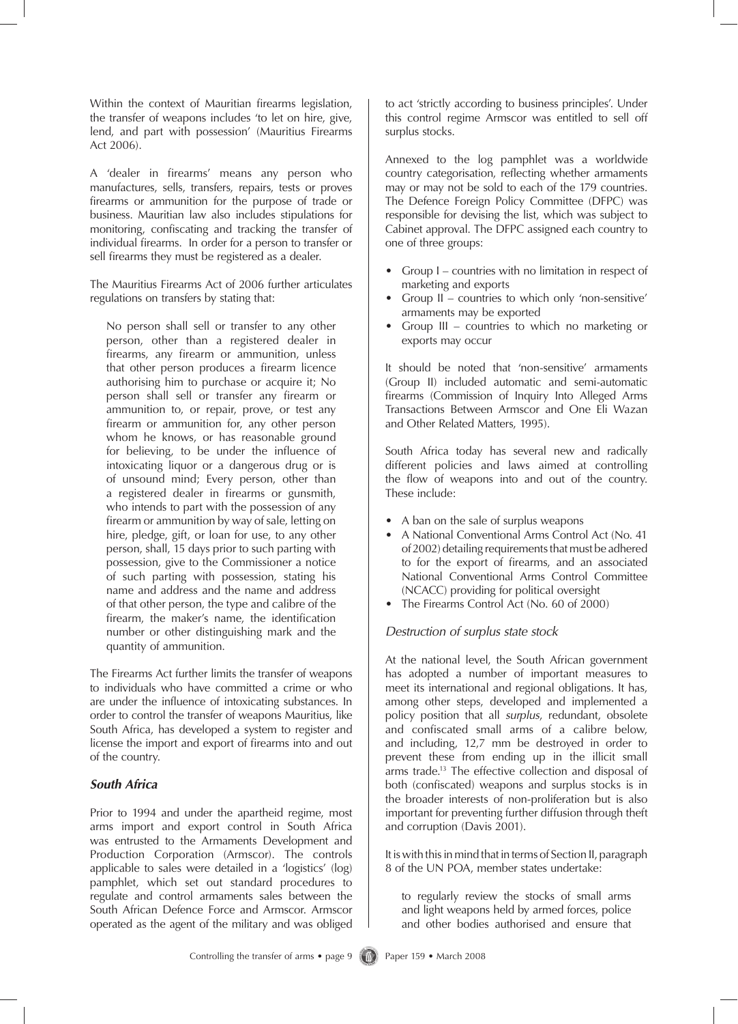Within the context of Mauritian firearms legislation, the transfer of weapons includes 'to let on hire, give, lend, and part with possession' (Mauritius Firearms Act 2006).

A 'dealer in firearms' means any person who manufactures, sells, transfers, repairs, tests or proves firearms or ammunition for the purpose of trade or business. Mauritian law also includes stipulations for monitoring, confiscating and tracking the transfer of individual firearms. In order for a person to transfer or sell firearms they must be registered as a dealer.

The Mauritius Firearms Act of 2006 further articulates regulations on transfers by stating that:

No person shall sell or transfer to any other person, other than a registered dealer in firearms, any firearm or ammunition, unless that other person produces a firearm licence authorising him to purchase or acquire it; No person shall sell or transfer any firearm or ammunition to, or repair, prove, or test any firearm or ammunition for, any other person whom he knows, or has reasonable ground for believing, to be under the influence of intoxicating liquor or a dangerous drug or is of unsound mind; Every person, other than a registered dealer in firearms or gunsmith, who intends to part with the possession of any firearm or ammunition by way of sale, letting on hire, pledge, gift, or loan for use, to any other person, shall, 15 days prior to such parting with possession, give to the Commissioner a notice of such parting with possession, stating his name and address and the name and address of that other person, the type and calibre of the firearm, the maker's name, the identification number or other distinguishing mark and the quantity of ammunition.

The Firearms Act further limits the transfer of weapons to individuals who have committed a crime or who are under the influence of intoxicating substances. In order to control the transfer of weapons Mauritius, like South Africa, has developed a system to register and license the import and export of firearms into and out of the country.

# *South Africa*

Prior to 1994 and under the apartheid regime, most arms import and export control in South Africa was entrusted to the Armaments Development and Production Corporation (Armscor). The controls applicable to sales were detailed in a 'logistics' (log) pamphlet, which set out standard procedures to regulate and control armaments sales between the South African Defence Force and Armscor. Armscor operated as the agent of the military and was obliged to act 'strictly according to business principles'. Under this control regime Armscor was entitled to sell off surplus stocks.

Annexed to the log pamphlet was a worldwide country categorisation, reflecting whether armaments may or may not be sold to each of the 179 countries. The Defence Foreign Policy Committee (DFPC) was responsible for devising the list, which was subject to Cabinet approval. The DFPC assigned each country to one of three groups:

- Group I countries with no limitation in respect of marketing and exports
- Group II countries to which only 'non-sensitive' armaments may be exported
- Group III countries to which no marketing or exports may occur

It should be noted that 'non-sensitive' armaments (Group II) included automatic and semi-automatic firearms (Commission of Inquiry Into Alleged Arms Transactions Between Armscor and One Eli Wazan and Other Related Matters, 1995).

South Africa today has several new and radically different policies and laws aimed at controlling the flow of weapons into and out of the country. These include:

- A ban on the sale of surplus weapons
- A National Conventional Arms Control Act (No. 41 of 2002) detailing requirements that must be adhered to for the export of firearms, and an associated National Conventional Arms Control Committee (NCACC) providing for political oversight
- The Firearms Control Act (No. 60 of 2000)

# *Destruction of surplus state stock*

At the national level, the South African government has adopted a number of important measures to meet its international and regional obligations. It has, among other steps, developed and implemented a policy position that all *surplus*, redundant, obsolete and confiscated small arms of a calibre below, and including, 12,7 mm be destroyed in order to prevent these from ending up in the illicit small arms trade.<sup>13</sup> The effective collection and disposal of both (confiscated) weapons and surplus stocks is in the broader interests of non-proliferation but is also important for preventing further diffusion through theft and corruption (Davis 2001).

It is with this in mind that in terms of Section II, paragraph 8 of the UN POA, member states undertake:

to regularly review the stocks of small arms and light weapons held by armed forces, police and other bodies authorised and ensure that

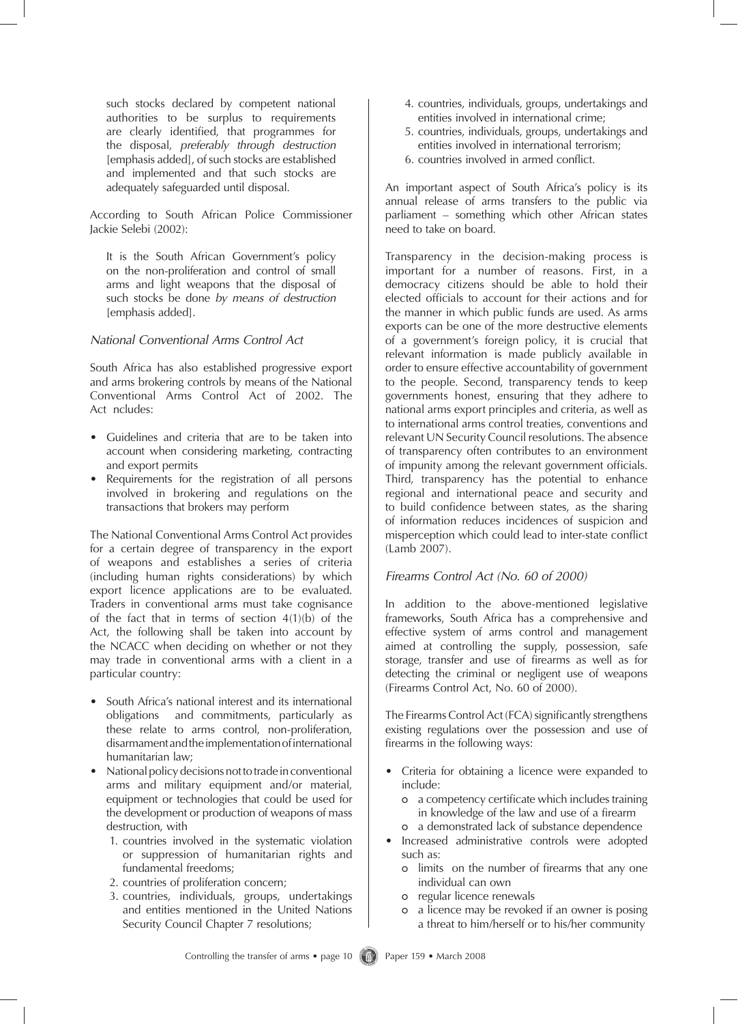such stocks declared by competent national authorities to be surplus to requirements are clearly identified, that programmes for the disposal, *preferably through destruction* [emphasis added], of such stocks are established and implemented and that such stocks are adequately safeguarded until disposal.

According to South African Police Commissioner Jackie Selebi (2002):

It is the South African Government's policy on the non-proliferation and control of small arms and light weapons that the disposal of such stocks be done *by means of destruction* [emphasis added].

# *National Conventional Arms Control Act*

South Africa has also established progressive export and arms brokering controls by means of the National Conventional Arms Control Act of 2002. The Act ncludes:

- Guidelines and criteria that are to be taken into account when considering marketing, contracting and export permits
- Requirements for the registration of all persons involved in brokering and regulations on the transactions that brokers may perform

The National Conventional Arms Control Act provides for a certain degree of transparency in the export of weapons and establishes a series of criteria (including human rights considerations) by which export licence applications are to be evaluated. Traders in conventional arms must take cognisance of the fact that in terms of section  $4(1)(b)$  of the Act, the following shall be taken into account by the NCACC when deciding on whether or not they may trade in conventional arms with a client in a particular country:

- South Africa's national interest and its international obligations and commitments, particularly as these relate to arms control, non-proliferation, disarmament and the implementation of international humanitarian law;
- National policy decisions not to trade in conventional arms and military equipment and/or material, equipment or technologies that could be used for the development or production of weapons of mass destruction, with
	- 1. countries involved in the systematic violation or suppression of humanitarian rights and fundamental freedoms;
	- 2. countries of proliferation concern;
	- 3. countries, individuals, groups, undertakings and entities mentioned in the United Nations Security Council Chapter 7 resolutions;
- 4. countries, individuals, groups, undertakings and entities involved in international crime;
- 5. countries, individuals, groups, undertakings and entities involved in international terrorism;
- 6. countries involved in armed conflict.

An important aspect of South Africa's policy is its annual release of arms transfers to the public via parliament – something which other African states need to take on board.

Transparency in the decision-making process is important for a number of reasons. First, in a democracy citizens should be able to hold their elected officials to account for their actions and for the manner in which public funds are used. As arms exports can be one of the more destructive elements of a government's foreign policy, it is crucial that relevant information is made publicly available in order to ensure effective accountability of government to the people. Second, transparency tends to keep governments honest, ensuring that they adhere to national arms export principles and criteria, as well as to international arms control treaties, conventions and relevant UN Security Council resolutions. The absence of transparency often contributes to an environment of impunity among the relevant government officials. Third, transparency has the potential to enhance regional and international peace and security and to build confidence between states, as the sharing of information reduces incidences of suspicion and misperception which could lead to inter-state conflict (Lamb 2007).

# *Firearms Control Act (No. 60 of 2000)*

In addition to the above-mentioned legislative frameworks, South Africa has a comprehensive and effective system of arms control and management aimed at controlling the supply, possession, safe storage, transfer and use of firearms as well as for detecting the criminal or negligent use of weapons (Firearms Control Act, No. 60 of 2000).

The Firearms Control Act (FCA) significantly strengthens existing regulations over the possession and use of firearms in the following ways:

- Criteria for obtaining a licence were expanded to include:
	- o a competency certificate which includes training in knowledge of the law and use of a firearm
	- o a demonstrated lack of substance dependence
- Increased administrative controls were adopted such as:
	- o limits on the number of firearms that any one individual can own
	- o regular licence renewals
	- o a licence may be revoked if an owner is posing a threat to him/herself or to his/her community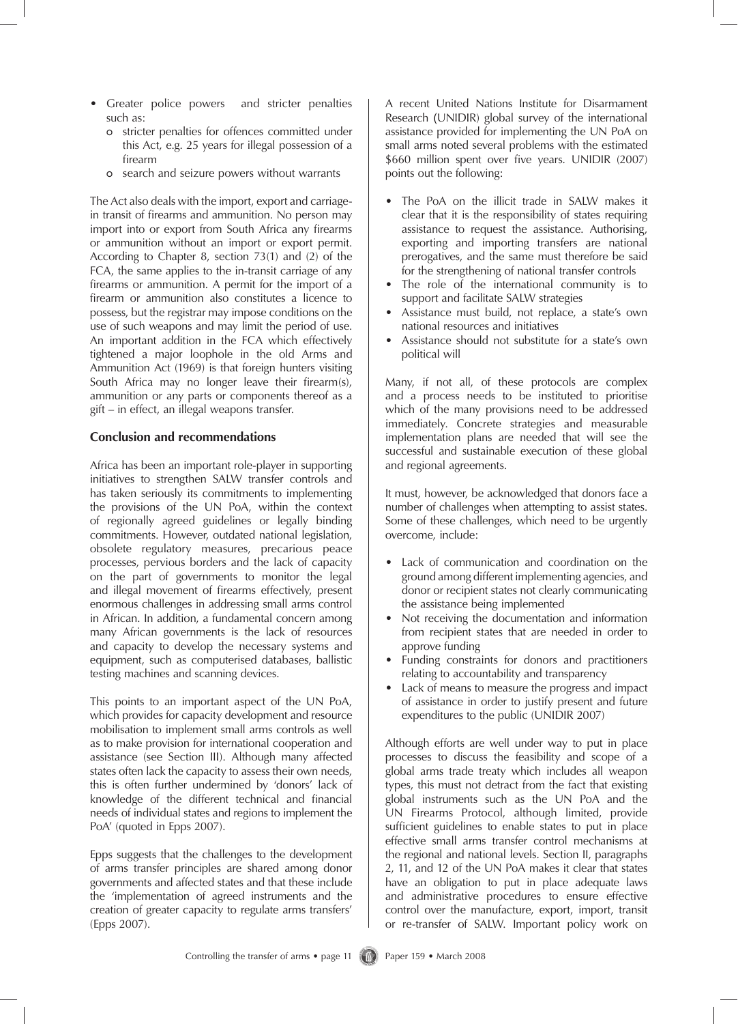- Greater police powers and stricter penalties such as:
	- o stricter penalties for offences committed under this Act, e.g. 25 years for illegal possession of a firearm
	- o search and seizure powers without warrants

The Act also deals with the import, export and carriagein transit of firearms and ammunition. No person may import into or export from South Africa any firearms or ammunition without an import or export permit. According to Chapter 8, section 73(1) and (2) of the FCA, the same applies to the in-transit carriage of any firearms or ammunition. A permit for the import of a firearm or ammunition also constitutes a licence to possess, but the registrar may impose conditions on the use of such weapons and may limit the period of use. An important addition in the FCA which effectively tightened a major loophole in the old Arms and Ammunition Act (1969) is that foreign hunters visiting South Africa may no longer leave their firearm(s), ammunition or any parts or components thereof as a gift – in effect, an illegal weapons transfer.

## **Conclusion and recommendations**

Africa has been an important role-player in supporting initiatives to strengthen SALW transfer controls and has taken seriously its commitments to implementing the provisions of the UN PoA, within the context of regionally agreed guidelines or legally binding commitments. However, outdated national legislation, obsolete regulatory measures, precarious peace processes, pervious borders and the lack of capacity on the part of governments to monitor the legal and illegal movement of firearms effectively, present enormous challenges in addressing small arms control in African. In addition, a fundamental concern among many African governments is the lack of resources and capacity to develop the necessary systems and equipment, such as computerised databases, ballistic testing machines and scanning devices.

This points to an important aspect of the UN PoA, which provides for capacity development and resource mobilisation to implement small arms controls as well as to make provision for international cooperation and assistance (see Section III). Although many affected states often lack the capacity to assess their own needs, this is often further undermined by 'donors' lack of knowledge of the different technical and financial needs of individual states and regions to implement the PoA' (quoted in Epps 2007).

Epps suggests that the challenges to the development of arms transfer principles are shared among donor governments and affected states and that these include the 'implementation of agreed instruments and the creation of greater capacity to regulate arms transfers' (Epps 2007).

A recent United Nations Institute for Disarmament Research (UNIDIR) global survey of the international assistance provided for implementing the UN PoA on small arms noted several problems with the estimated \$660 million spent over five years. UNIDIR (2007) points out the following:

- The PoA on the illicit trade in SALW makes it clear that it is the responsibility of states requiring assistance to request the assistance. Authorising, exporting and importing transfers are national prerogatives, and the same must therefore be said for the strengthening of national transfer controls
- The role of the international community is to support and facilitate SALW strategies
- Assistance must build, not replace, a state's own national resources and initiatives
- Assistance should not substitute for a state's own political will

Many, if not all, of these protocols are complex and a process needs to be instituted to prioritise which of the many provisions need to be addressed immediately. Concrete strategies and measurable implementation plans are needed that will see the successful and sustainable execution of these global and regional agreements.

It must, however, be acknowledged that donors face a number of challenges when attempting to assist states. Some of these challenges, which need to be urgently overcome, include:

- Lack of communication and coordination on the ground among different implementing agencies, and donor or recipient states not clearly communicating the assistance being implemented
- Not receiving the documentation and information from recipient states that are needed in order to approve funding
- Funding constraints for donors and practitioners relating to accountability and transparency
- Lack of means to measure the progress and impact of assistance in order to justify present and future expenditures to the public (UNIDIR 2007)

Although efforts are well under way to put in place processes to discuss the feasibility and scope of a global arms trade treaty which includes all weapon types, this must not detract from the fact that existing global instruments such as the UN PoA and the UN Firearms Protocol, although limited, provide sufficient guidelines to enable states to put in place effective small arms transfer control mechanisms at the regional and national levels. Section II, paragraphs 2, 11, and 12 of the UN PoA makes it clear that states have an obligation to put in place adequate laws and administrative procedures to ensure effective control over the manufacture, export, import, transit or re-transfer of SALW. Important policy work on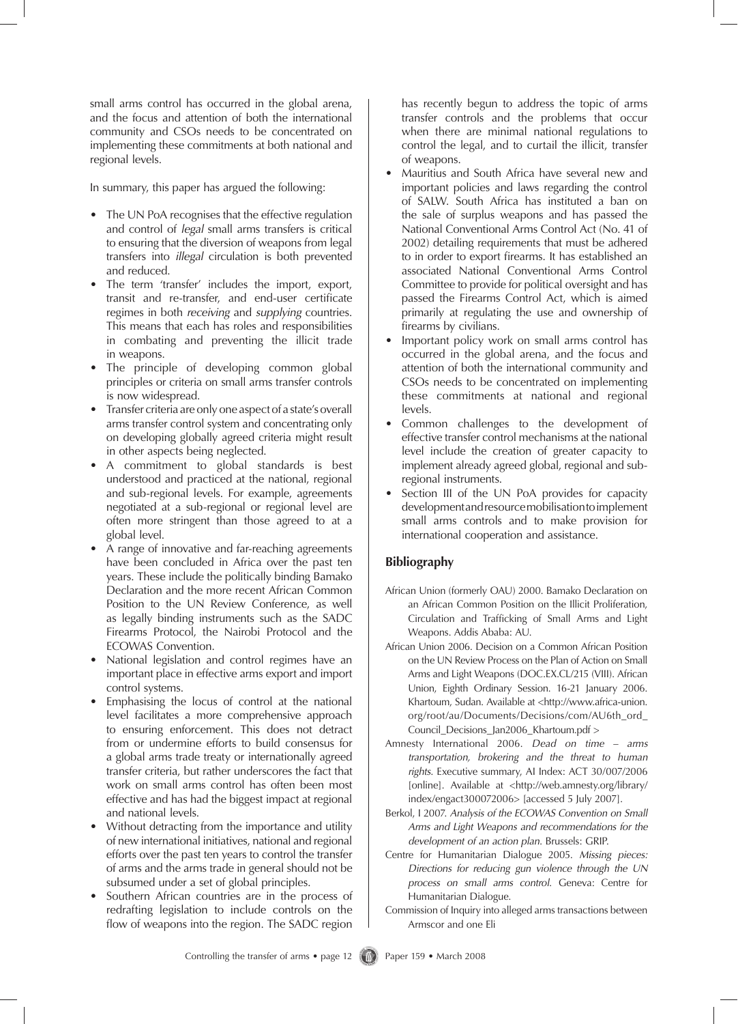small arms control has occurred in the global arena, and the focus and attention of both the international community and CSOs needs to be concentrated on implementing these commitments at both national and regional levels.

In summary, this paper has argued the following:

- The UN PoA recognises that the effective regulation and control of *legal* small arms transfers is critical to ensuring that the diversion of weapons from legal transfers into *illegal* circulation is both prevented and reduced.
- The term 'transfer' includes the import, export, transit and re-transfer, and end-user certificate regimes in both *receiving* and *supplying* countries. This means that each has roles and responsibilities in combating and preventing the illicit trade in weapons.
- The principle of developing common global principles or criteria on small arms transfer controls is now widespread.
- Transfer criteria are only one aspect of a state's overall arms transfer control system and concentrating only on developing globally agreed criteria might result in other aspects being neglected.
- A commitment to global standards is best understood and practiced at the national, regional and sub-regional levels. For example, agreements negotiated at a sub-regional or regional level are often more stringent than those agreed to at a global level.
- A range of innovative and far-reaching agreements have been concluded in Africa over the past ten years. These include the politically binding Bamako Declaration and the more recent African Common Position to the UN Review Conference, as well as legally binding instruments such as the SADC Firearms Protocol, the Nairobi Protocol and the ECOWAS Convention.
- National legislation and control regimes have an important place in effective arms export and import control systems.
- Emphasising the locus of control at the national level facilitates a more comprehensive approach to ensuring enforcement. This does not detract from or undermine efforts to build consensus for a global arms trade treaty or internationally agreed transfer criteria, but rather underscores the fact that work on small arms control has often been most effective and has had the biggest impact at regional and national levels.
- Without detracting from the importance and utility of new international initiatives, national and regional efforts over the past ten years to control the transfer of arms and the arms trade in general should not be subsumed under a set of global principles.
- Southern African countries are in the process of redrafting legislation to include controls on the flow of weapons into the region. The SADC region

has recently begun to address the topic of arms transfer controls and the problems that occur when there are minimal national regulations to control the legal, and to curtail the illicit, transfer of weapons.

- Mauritius and South Africa have several new and important policies and laws regarding the control of SALW. South Africa has instituted a ban on the sale of surplus weapons and has passed the National Conventional Arms Control Act (No. 41 of 2002) detailing requirements that must be adhered to in order to export firearms. It has established an associated National Conventional Arms Control Committee to provide for political oversight and has passed the Firearms Control Act, which is aimed primarily at regulating the use and ownership of firearms by civilians.
- Important policy work on small arms control has occurred in the global arena, and the focus and attention of both the international community and CSOs needs to be concentrated on implementing these commitments at national and regional levels.
- Common challenges to the development of effective transfer control mechanisms at the national level include the creation of greater capacity to implement already agreed global, regional and subregional instruments.
- Section III of the UN PoA provides for capacity development and resource mobilisation to implement small arms controls and to make provision for international cooperation and assistance.

# **Bibliography**

- African Union (formerly OAU) 2000. Bamako Declaration on an African Common Position on the Illicit Proliferation, Circulation and Trafficking of Small Arms and Light Weapons. Addis Ababa: AU.
- African Union 2006. Decision on a Common African Position on the UN Review Process on the Plan of Action on Small Arms and Light Weapons (DOC.EX.CL/215 (VIII). African Union, Eighth Ordinary Session. 16-21 January 2006. Khartoum, Sudan. Available at <http://www.africa-union. org/root/au/Documents/Decisions/com/AU6th\_ord\_ Council Decisions Jan2006 Khartoum.pdf >
- Amnesty International 2006. *Dead on time arms transportation, brokering and the threat to human rights*. Executive summary, AI Index: ACT 30/007/2006 [online]. Available at <http://web.amnesty.org/library/ index/engact300072006> [accessed 5 July 2007].
- Berkol, I 2007. *Analysis of the ECOWAS Convention on Small Arms and Light Weapons and recommendations for the development of an action plan*. Brussels: GRIP.
- Centre for Humanitarian Dialogue 2005. *Missing pieces: Directions for reducing gun violence through the UN process on small arms control*. Geneva: Centre for Humanitarian Dialogue.
- Commission of Inquiry into alleged arms transactions between Armscor and one Eli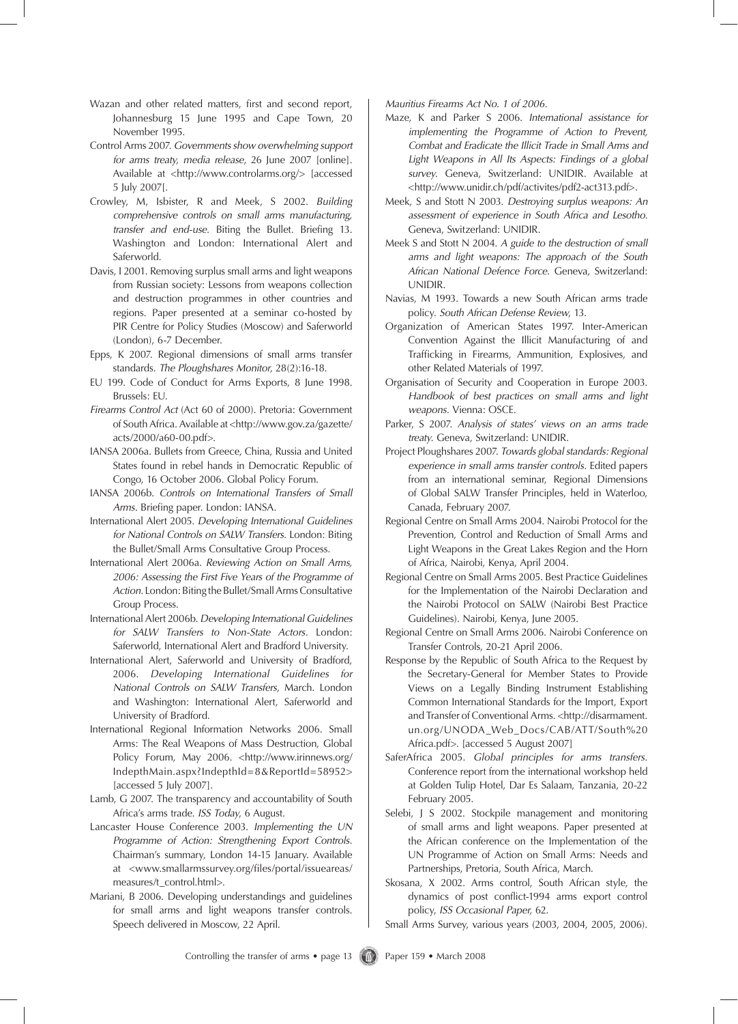- Wazan and other related matters, first and second report, Johannesburg 15 June 1995 and Cape Town, 20 November 1995.
- Control Arms 2007. *Governments show overwhelming support for arms treaty, media release*, 26 June 2007 [online]. Available at <http://www.controlarms.org/> [accessed 5 July 2007[.
- Crowley, M, Isbister, R and Meek, S 2002. *Building comprehensive controls on small arms manufacturing, transfer and end-use*. Biting the Bullet. Briefing 13. Washington and London: International Alert and Saferworld.
- Davis, I 2001. Removing surplus small arms and light weapons from Russian society: Lessons from weapons collection and destruction programmes in other countries and regions. Paper presented at a seminar co-hosted by PIR Centre for Policy Studies (Moscow) and Saferworld (London), 6-7 December.
- Epps, K 2007. Regional dimensions of small arms transfer standards. *The Ploughshares Monitor*, 28(2):16-18.
- EU 199. Code of Conduct for Arms Exports, 8 June 1998. Brussels: EU.
- *Firearms Control Act* (Act 60 of 2000). Pretoria: Government of South Africa. Available at <http://www.gov.za/gazette/ acts/2000/a60-00.pdf>.
- IANSA 2006a. Bullets from Greece, China, Russia and United States found in rebel hands in Democratic Republic of Congo, 16 October 2006. Global Policy Forum.
- IANSA 2006b. *Controls on International Transfers of Small Arms*. Briefing paper. London: IANSA.
- International Alert 2005. *Developing International Guidelines for National Controls on SALW Transfers.* London: Biting the Bullet/Small Arms Consultative Group Process.
- International Alert 2006a. *Reviewing Action on Small Arms, 2006: Assessing the First Five Years of the Programme of Action*. London: Biting the Bullet/Small Arms Consultative Group Process.
- International Alert 2006b. *Developing International Guidelines for SALW Transfers to Non-State Actors*. London: Saferworld, International Alert and Bradford University.
- International Alert, Saferworld and University of Bradford, 2006. *Developing International Guidelines for National Controls on SALW Transfers*, March. London and Washington: International Alert, Saferworld and University of Bradford.
- International Regional Information Networks 2006. Small Arms: The Real Weapons of Mass Destruction, Global Policy Forum, May 2006. <http://www.irinnews.org/ IndepthMain.aspx?IndepthId=8&ReportId=58952> [accessed 5 July 2007].
- Lamb, G 2007. The transparency and accountability of South Africa's arms trade. *ISS Today*, 6 August.
- Lancaster House Conference 2003. *Implementing the UN Programme of Action: Strengthening Export Controls*. Chairman's summary, London 14-15 January. Available at <www.smallarmssurvey.org/files/portal/issueareas/ measures/t\_control.html>.
- Mariani, B 2006. Developing understandings and guidelines for small arms and light weapons transfer controls. Speech delivered in Moscow, 22 April.

*Mauritius Firearms Act No. 1 of 2006*.

- Maze, K and Parker S 2006. *International assistance for implementing the Programme of Action to Prevent, Combat and Eradicate the Illicit Trade in Small Arms and Light Weapons in All Its Aspects: Findings of a global survey*. Geneva, Switzerland: UNIDIR. Available at <http://www.unidir.ch/pdf/activites/pdf2-act313.pdf>.
- Meek, S and Stott N 2003. *Destroying surplus weapons: An assessment of experience in South Africa and Lesotho.* Geneva, Switzerland: UNIDIR.
- Meek S and Stott N 2004. *A guide to the destruction of small arms and light weapons: The approach of the South African National Defence Force*. Geneva, Switzerland: UNIDIR.
- Navias, M 1993. Towards a new South African arms trade policy. *South African Defense Review*, 13.
- Organization of American States 1997. Inter-American Convention Against the Illicit Manufacturing of and Trafficking in Firearms, Ammunition, Explosives, and other Related Materials of 1997.
- Organisation of Security and Cooperation in Europe 2003. *Handbook of best practices on small arms and light weapons*. Vienna: OSCE.
- Parker, S 2007. *Analysis of states' views on an arms trade treaty*. Geneva, Switzerland: UNIDIR.
- Project Ploughshares 2007. *Towards global standards: Regional experience in small arms transfer controls*. Edited papers from an international seminar, Regional Dimensions of Global SALW Transfer Principles, held in Waterloo, Canada, February 2007.
- Regional Centre on Small Arms 2004. Nairobi Protocol for the Prevention, Control and Reduction of Small Arms and Light Weapons in the Great Lakes Region and the Horn of Africa, Nairobi, Kenya, April 2004.
- Regional Centre on Small Arms 2005. Best Practice Guidelines for the Implementation of the Nairobi Declaration and the Nairobi Protocol on SALW (Nairobi Best Practice Guidelines). Nairobi, Kenya, June 2005.
- Regional Centre on Small Arms 2006. Nairobi Conference on Transfer Controls, 20-21 April 2006.
- Response by the Republic of South Africa to the Request by the Secretary-General for Member States to Provide Views on a Legally Binding Instrument Establishing Common International Standards for the Import, Export and Transfer of Conventional Arms. <http://disarmament. un.org/UNODA\_Web\_Docs/CAB/ATT/South%20 Africa.pdf>. [accessed 5 August 2007]
- SaferAfrica 2005. *Global principles for arms transfers*. Conference report from the international workshop held at Golden Tulip Hotel, Dar Es Salaam, Tanzania, 20-22 February 2005.
- Selebi, J S 2002. Stockpile management and monitoring of small arms and light weapons. Paper presented at the African conference on the Implementation of the UN Programme of Action on Small Arms: Needs and Partnerships, Pretoria, South Africa, March.
- Skosana, X 2002. Arms control, South African style, the dynamics of post conflict-1994 arms export control policy, *ISS Occasional Paper,* 62.

Small Arms Survey, various years (2003, 2004, 2005, 2006).

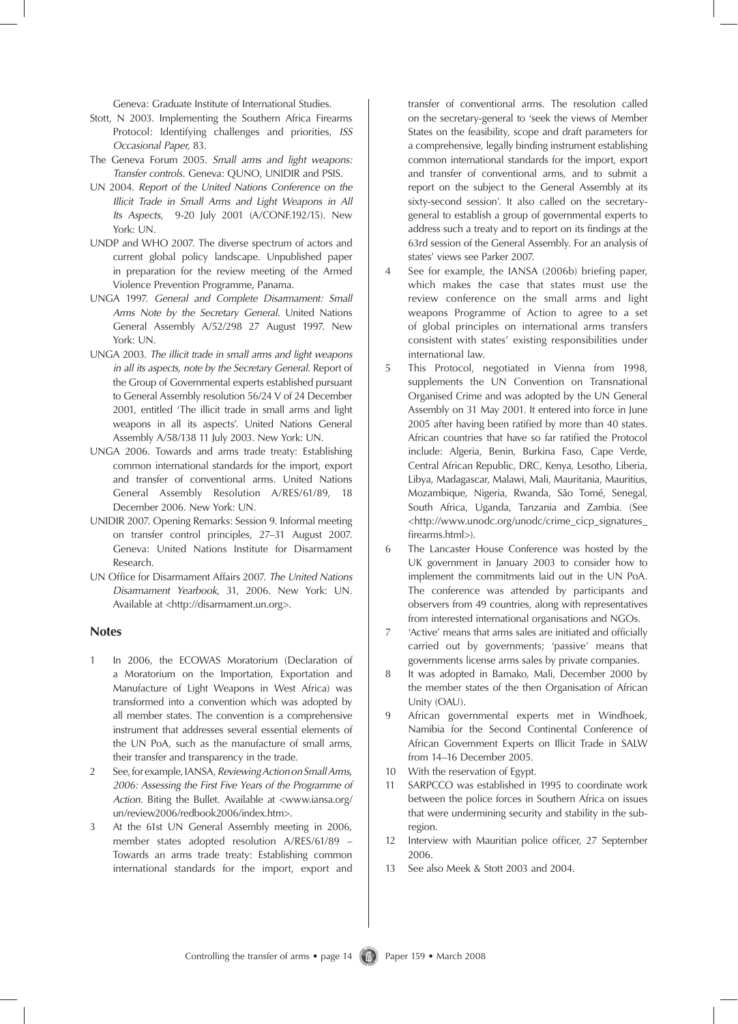Geneva: Graduate Institute of International Studies.

- Stott, N 2003. Implementing the Southern Africa Firearms Protocol: Identifying challenges and priorities, *ISS Occasional Paper,* 83.
- The Geneva Forum 2005. *Small arms and light weapons: Transfer controls*. Geneva: QUNO, UNIDIR and PSIS.
- UN 2004. *Report of the United Nations Conference on the Illicit Trade in Small Arms and Light Weapons in All Its Aspects*, 9-20 July 2001 (A/CONF.192/15). New York: UN.
- UNDP and WHO 2007. The diverse spectrum of actors and current global policy landscape. Unpublished paper in preparation for the review meeting of the Armed Violence Prevention Programme, Panama.
- UNGA 1997. *General and Complete Disarmament: Small Arms Note by the Secretary General*. United Nations General Assembly A/52/298 27 August 1997. New York: UN.
- UNGA 2003. *The illicit trade in small arms and light weapons in all its aspects, note by the Secretary General*. Report of the Group of Governmental experts established pursuant to General Assembly resolution 56/24 V of 24 December 2001, entitled 'The illicit trade in small arms and light weapons in all its aspects'. United Nations General Assembly A/58/138 11 July 2003. New York: UN.
- UNGA 2006. Towards and arms trade treaty: Establishing common international standards for the import, export and transfer of conventional arms. United Nations General Assembly Resolution A/RES/61/89, 18 December 2006. New York: UN.
- UNIDIR 2007. Opening Remarks: Session 9. Informal meeting on transfer control principles, 27–31 August 2007. Geneva: United Nations Institute for Disarmament Research.
- UN Office for Disarmament Affairs 2007. *The United Nations Disarmament Yearbook*, 31, 2006. New York: UN. Available at <http://disarmament.un.org>.

### **Notes**

- 1 In 2006, the ECOWAS Moratorium (Declaration of a Moratorium on the Importation, Exportation and Manufacture of Light Weapons in West Africa) was transformed into a convention which was adopted by all member states. The convention is a comprehensive instrument that addresses several essential elements of the UN PoA, such as the manufacture of small arms, their transfer and transparency in the trade.
- 2 See, for example, IANSA, *Reviewing Action on Small Arms, 2006: Assessing the First Five Years of the Programme of Action*. Biting the Bullet. Available at <www.iansa.org/ un/review2006/redbook2006/index.htm>.
- 3 At the 61st UN General Assembly meeting in 2006, member states adopted resolution A/RES/61/89 – Towards an arms trade treaty: Establishing common international standards for the import, export and

transfer of conventional arms. The resolution called on the secretary-general to 'seek the views of Member States on the feasibility, scope and draft parameters for a comprehensive, legally binding instrument establishing common international standards for the import, export and transfer of conventional arms, and to submit a report on the subject to the General Assembly at its sixty-second session'. It also called on the secretarygeneral to establish a group of governmental experts to address such a treaty and to report on its findings at the 63rd session of the General Assembly. For an analysis of states' views see Parker 2007.

- 4 See for example, the IANSA (2006b) briefing paper, which makes the case that states must use the review conference on the small arms and light weapons Programme of Action to agree to a set of global principles on international arms transfers consistent with states' existing responsibilities under international law.
- 5 This Protocol, negotiated in Vienna from 1998, supplements the UN Convention on Transnational Organised Crime and was adopted by the UN General Assembly on 31 May 2001. It entered into force in June 2005 after having been ratified by more than 40 states. African countries that have so far ratified the Protocol include: Algeria, Benin, Burkina Faso, Cape Verde, Central African Republic, DRC, Kenya, Lesotho, Liberia, Libya, Madagascar, Malawi, Mali, Mauritania, Mauritius, Mozambique, Nigeria, Rwanda, São Tomé, Senegal, South Africa, Uganda, Tanzania and Zambia. (See <http://www.unodc.org/unodc/crime\_cicp\_signatures\_ firearms.html>).
- 6 The Lancaster House Conference was hosted by the UK government in January 2003 to consider how to implement the commitments laid out in the UN PoA. The conference was attended by participants and observers from 49 countries, along with representatives from interested international organisations and NGOs.
- 7 'Active' means that arms sales are initiated and officially carried out by governments; 'passive' means that governments license arms sales by private companies.
- 8 It was adopted in Bamako, Mali, December 2000 by the member states of the then Organisation of African Unity (OAU).
- 9 African governmental experts met in Windhoek, Namibia for the Second Continental Conference of African Government Experts on Illicit Trade in SALW from 14–16 December 2005.
- 10 With the reservation of Egypt.
- 11 SARPCCO was established in 1995 to coordinate work between the police forces in Southern Africa on issues that were undermining security and stability in the subregion.
- 12 Interview with Mauritian police officer, 27 September 2006.
- 13 See also Meek & Stott 2003 and 2004.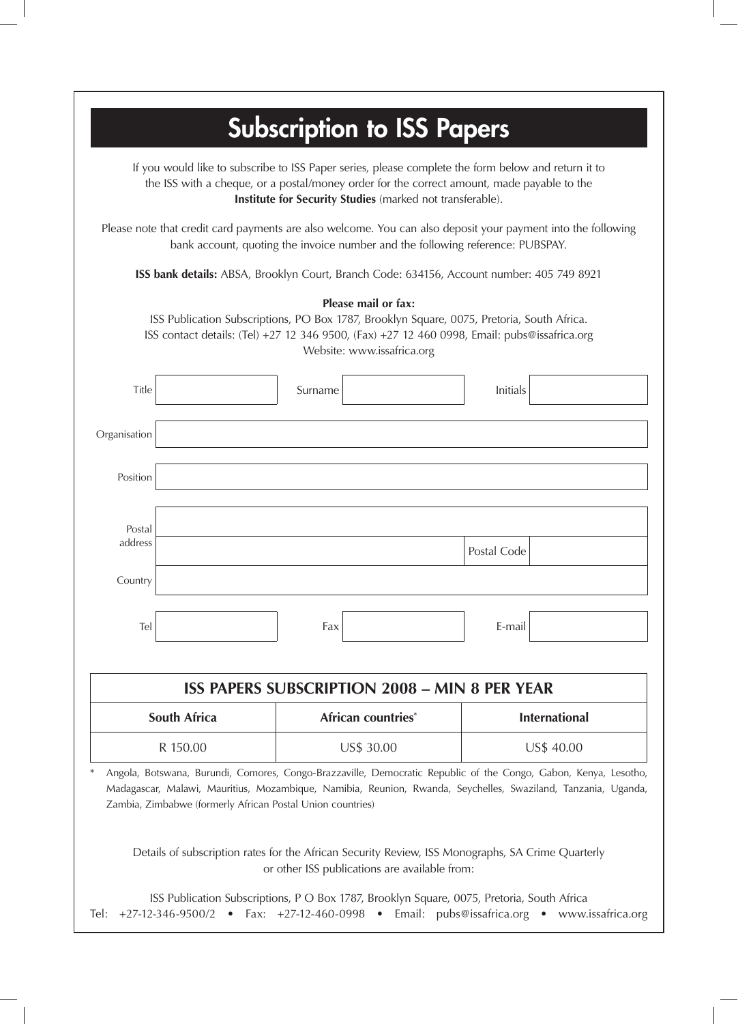# **Subscription to ISS Papers**

If you would like to subscribe to ISS Paper series, please complete the form below and return it to the ISS with a cheque, or a postal/money order for the correct amount, made payable to the **Institute for Security Studies** (marked not transferable).

Please note that credit card payments are also welcome. You can also deposit your payment into the following bank account, quoting the invoice number and the following reference: PUBSPAY.

**ISS bank details:** ABSA, Brooklyn Court, Branch Code: 634156, Account number: 405 749 8921

| Title             | Surname                                                    |                    | Initials                                                                                                                                                                                                                         |  |
|-------------------|------------------------------------------------------------|--------------------|----------------------------------------------------------------------------------------------------------------------------------------------------------------------------------------------------------------------------------|--|
| Organisation      |                                                            |                    |                                                                                                                                                                                                                                  |  |
| Position          |                                                            |                    |                                                                                                                                                                                                                                  |  |
| Postal<br>address |                                                            |                    |                                                                                                                                                                                                                                  |  |
| Country           |                                                            |                    | Postal Code                                                                                                                                                                                                                      |  |
| Tel               | Fax                                                        |                    | E-mail                                                                                                                                                                                                                           |  |
|                   | <b>ISS PAPERS SUBSCRIPTION 2008 - MIN 8 PER YEAR</b>       |                    |                                                                                                                                                                                                                                  |  |
| South Africa      |                                                            | African countries* | <b>International</b>                                                                                                                                                                                                             |  |
| R 150.00          |                                                            | US\$ 30.00         | US\$ 40.00                                                                                                                                                                                                                       |  |
|                   | Zambia, Zimbabwe (formerly African Postal Union countries) |                    | Angola, Botswana, Burundi, Comores, Congo-Brazzaville, Democratic Republic of the Congo, Gabon, Kenya, Lesotho,<br>Madagascar, Malawi, Mauritius, Mozambique, Namibia, Reunion, Rwanda, Seychelles, Swaziland, Tanzania, Uganda, |  |